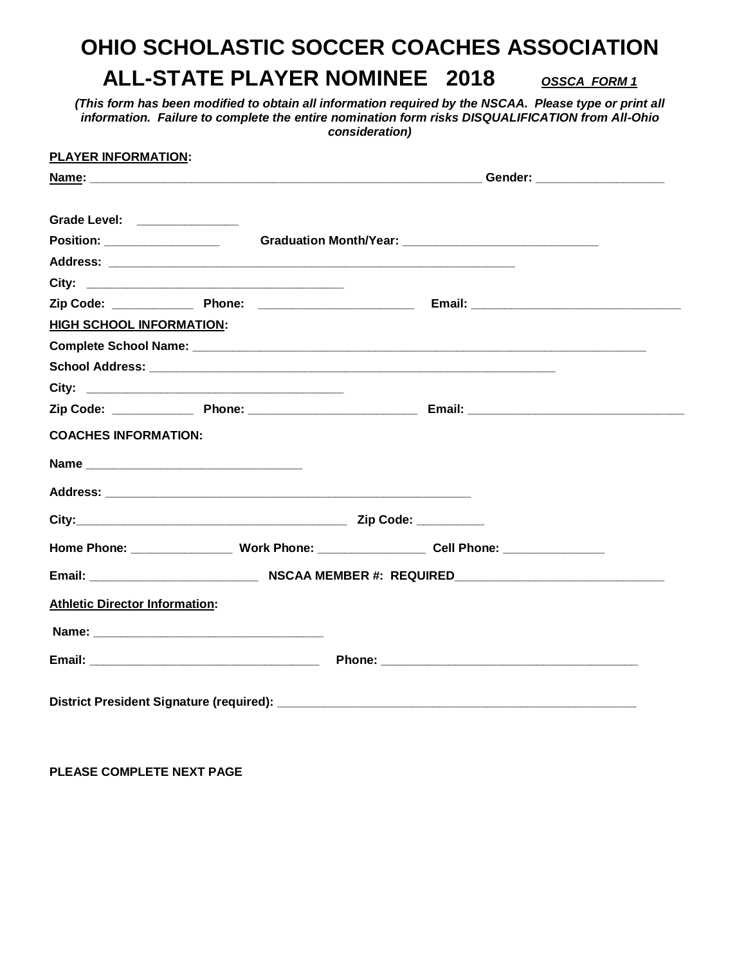## **OHIO SCHOLASTIC SOCCER COACHES ASSOCIATION ALL-STATE PLAYER NOMINEE 2018** *OSSCA FORM 1*

*(This form has been modified to obtain all information required by the NSCAA. Please type or print all information. Failure to complete the entire nomination form risks DISQUALIFICATION from All-Ohio consideration)*

| PLAYER INFORMATION:                   |                                                                                  |  |
|---------------------------------------|----------------------------------------------------------------------------------|--|
|                                       |                                                                                  |  |
| Grade Level: _______________          |                                                                                  |  |
|                                       |                                                                                  |  |
|                                       |                                                                                  |  |
|                                       |                                                                                  |  |
|                                       |                                                                                  |  |
| <b>HIGH SCHOOL INFORMATION:</b>       |                                                                                  |  |
|                                       |                                                                                  |  |
|                                       |                                                                                  |  |
|                                       |                                                                                  |  |
|                                       |                                                                                  |  |
|                                       |                                                                                  |  |
| <b>COACHES INFORMATION:</b>           |                                                                                  |  |
|                                       |                                                                                  |  |
|                                       |                                                                                  |  |
|                                       |                                                                                  |  |
|                                       | Home Phone: _________________Work Phone: ________________Cell Phone: ___________ |  |
|                                       |                                                                                  |  |
| <b>Athletic Director Information:</b> |                                                                                  |  |
|                                       |                                                                                  |  |
|                                       |                                                                                  |  |
|                                       |                                                                                  |  |

**PLEASE COMPLETE NEXT PAGE**